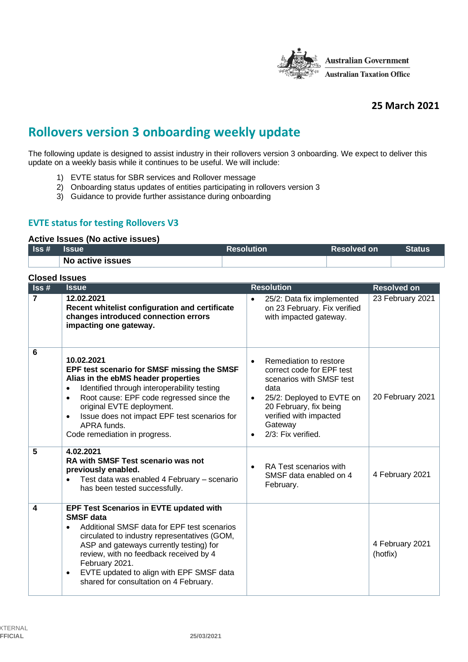

# **25 March 2021**

# **Rollovers version 3 onboarding weekly update**

The following update is designed to assist industry in their rollovers version 3 onboarding. We expect to deliver this update on a weekly basis while it continues to be useful. We will include:

- 1) EVTE status for SBR services and Rollover message
- 2) Onboarding status updates of entities participating in rollovers version 3
- 3) Guidance to provide further assistance during onboarding

## **EVTE status for testing Rollovers V3**

#### **Active Issues (No active issues)**

| $\textsf{lss}\,\texttt{\#}$ | <b>Issue</b>     | <b>Resolution</b> | 'Resolved on | <b>Status</b> |
|-----------------------------|------------------|-------------------|--------------|---------------|
|                             | No active issues |                   |              |               |

| <b>Closed Issues</b>        |                                                                                                                                                                                                                                                                                                                                                                                          |                                                                                                                                                                                                                                     |                             |  |
|-----------------------------|------------------------------------------------------------------------------------------------------------------------------------------------------------------------------------------------------------------------------------------------------------------------------------------------------------------------------------------------------------------------------------------|-------------------------------------------------------------------------------------------------------------------------------------------------------------------------------------------------------------------------------------|-----------------------------|--|
| $\textsf{lss}\,\texttt{\#}$ | <b>Issue</b>                                                                                                                                                                                                                                                                                                                                                                             | <b>Resolution</b>                                                                                                                                                                                                                   | <b>Resolved on</b>          |  |
| $\overline{7}$              | 12.02.2021<br>Recent whitelist configuration and certificate<br>changes introduced connection errors<br>impacting one gateway.                                                                                                                                                                                                                                                           | 25/2: Data fix implemented<br>$\bullet$<br>on 23 February. Fix verified<br>with impacted gateway.                                                                                                                                   | 23 February 2021            |  |
| 6                           | 10.02.2021<br>EPF test scenario for SMSF missing the SMSF<br>Alias in the ebMS header properties<br>Identified through interoperability testing<br>$\bullet$<br>Root cause: EPF code regressed since the<br>$\bullet$<br>original EVTE deployment.<br>Issue does not impact EPF test scenarios for<br>$\bullet$<br>APRA funds.<br>Code remediation in progress.                          | Remediation to restore<br>$\bullet$<br>correct code for EPF test<br>scenarios with SMSF test<br>data<br>25/2: Deployed to EVTE on<br>20 February, fix being<br>verified with impacted<br>Gateway<br>2/3: Fix verified.<br>$\bullet$ | 20 February 2021            |  |
| 5                           | 4.02.2021<br><b>RA with SMSF Test scenario was not</b><br>previously enabled.<br>Test data was enabled 4 February - scenario<br>$\bullet$<br>has been tested successfully.                                                                                                                                                                                                               | RA Test scenarios with<br>SMSF data enabled on 4<br>February.                                                                                                                                                                       | 4 February 2021             |  |
| 4                           | <b>EPF Test Scenarios in EVTE updated with</b><br><b>SMSF</b> data<br>Additional SMSF data for EPF test scenarios<br>$\bullet$<br>circulated to industry representatives (GOM,<br>ASP and gateways currently testing) for<br>review, with no feedback received by 4<br>February 2021.<br>EVTE updated to align with EPF SMSF data<br>$\bullet$<br>shared for consultation on 4 February. |                                                                                                                                                                                                                                     | 4 February 2021<br>(hotfix) |  |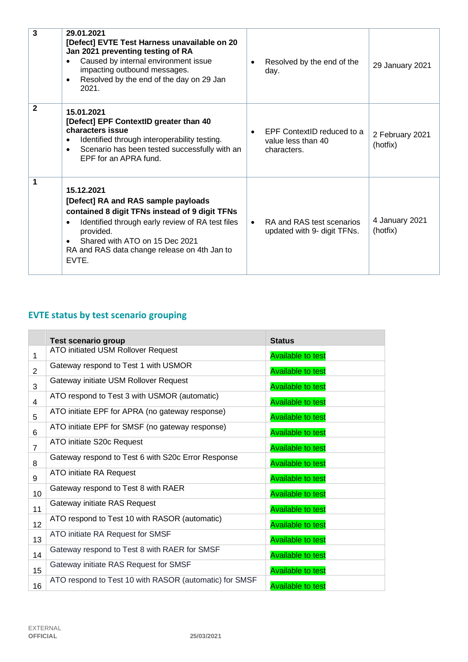| $\overline{3}$ | 29.01.2021<br>[Defect] EVTE Test Harness unavailable on 20<br>Jan 2021 preventing testing of RA<br>Caused by internal environment issue<br>٠<br>impacting outbound messages.<br>Resolved by the end of the day on 29 Jan<br>$\bullet$<br>2021.                       | Resolved by the end of the<br>29 January 2021<br>day.                                          |
|----------------|----------------------------------------------------------------------------------------------------------------------------------------------------------------------------------------------------------------------------------------------------------------------|------------------------------------------------------------------------------------------------|
| $\mathbf{2}$   | 15.01.2021<br>[Defect] EPF ContextID greater than 40<br>characters issue<br>Identified through interoperability testing.<br>$\bullet$<br>Scenario has been tested successfully with an<br>$\bullet$<br>EPF for an APRA fund.                                         | EPF ContextID reduced to a<br>2 February 2021<br>value less than 40<br>(hotfix)<br>characters. |
| $\mathbf 1$    | 15.12.2021<br>[Defect] RA and RAS sample payloads<br>contained 8 digit TFNs instead of 9 digit TFNs<br>Identified through early review of RA test files<br>٠<br>provided.<br>Shared with ATO on 15 Dec 2021<br>RA and RAS data change release on 4th Jan to<br>EVTE. | 4 January 2021<br>RA and RAS test scenarios<br>(hotfix)<br>updated with 9- digit TFNs.         |

# **EVTE status by test scenario grouping**

|                 | <b>Test scenario group</b>                             | <b>Status</b>            |
|-----------------|--------------------------------------------------------|--------------------------|
| 1               | ATO initiated USM Rollover Request                     | <b>Available to test</b> |
| $\overline{2}$  | Gateway respond to Test 1 with USMOR                   | <b>Available to test</b> |
| 3               | Gateway initiate USM Rollover Request                  | <b>Available to test</b> |
| 4               | ATO respond to Test 3 with USMOR (automatic)           | <b>Available to test</b> |
| 5               | ATO initiate EPF for APRA (no gateway response)        | <b>Available to test</b> |
| 6               | ATO initiate EPF for SMSF (no gateway response)        | <b>Available to test</b> |
| $\overline{7}$  | ATO initiate S20c Request                              | <b>Available to test</b> |
| 8               | Gateway respond to Test 6 with S20c Error Response     | <b>Available to test</b> |
| 9               | ATO initiate RA Request                                | <b>Available to test</b> |
| 10 <sup>1</sup> | Gateway respond to Test 8 with RAER                    | <b>Available to test</b> |
| 11              | Gateway initiate RAS Request                           | <b>Available to test</b> |
| 12              | ATO respond to Test 10 with RASOR (automatic)          | <b>Available to test</b> |
| 13              | ATO initiate RA Request for SMSF                       | <b>Available to test</b> |
| 14              | Gateway respond to Test 8 with RAER for SMSF           | <b>Available to test</b> |
| 15              | Gateway initiate RAS Request for SMSF                  | <b>Available to test</b> |
| 16              | ATO respond to Test 10 with RASOR (automatic) for SMSF | <b>Available to test</b> |